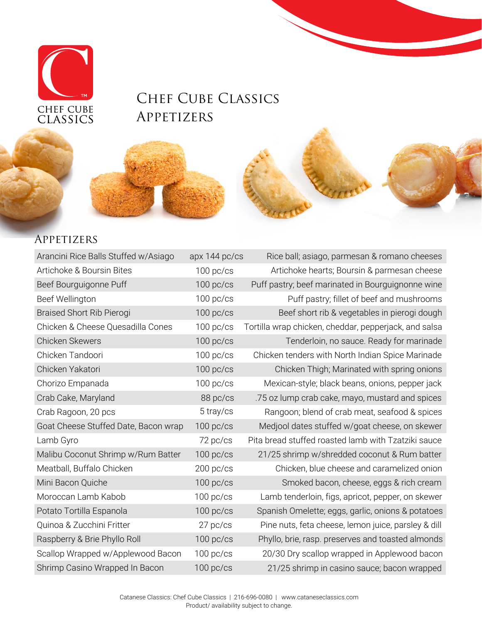

## CHEF CUBE CLASSICS **APPETIZERS**



| Arancini Rice Balls Stuffed w/Asiago | apx 144 pc/cs | Rice ball; asiago, parmesan & romano cheeses          |
|--------------------------------------|---------------|-------------------------------------------------------|
| Artichoke & Boursin Bites            | $100$ pc/cs   | Artichoke hearts; Boursin & parmesan cheese           |
| Beef Bourguigonne Puff               | $100$ pc/cs   | Puff pastry; beef marinated in Bourguignonne wine     |
| Beef Wellington                      | $100$ pc/cs   | Puff pastry; fillet of beef and mushrooms             |
| <b>Braised Short Rib Pierogi</b>     | $100$ pc/cs   | Beef short rib & vegetables in pierogi dough          |
| Chicken & Cheese Quesadilla Cones    | $100$ pc/cs   | Tortilla wrap chicken, cheddar, pepperjack, and salsa |
| Chicken Skewers                      | $100$ pc/cs   | Tenderloin, no sauce. Ready for marinade              |
| Chicken Tandoori                     | $100$ pc/cs   | Chicken tenders with North Indian Spice Marinade      |
| Chicken Yakatori                     | $100$ pc/cs   | Chicken Thigh; Marinated with spring onions           |
| Chorizo Empanada                     | $100$ pc/cs   | Mexican-style; black beans, onions, pepper jack       |
| Crab Cake, Maryland                  | 88 pc/cs      | .75 oz lump crab cake, mayo, mustard and spices       |
| Crab Ragoon, 20 pcs                  | 5 tray/cs     | Rangoon; blend of crab meat, seafood & spices         |
| Goat Cheese Stuffed Date, Bacon wrap | $100$ pc/cs   | Medjool dates stuffed w/goat cheese, on skewer        |
| Lamb Gyro                            | 72 pc/cs      | Pita bread stuffed roasted lamb with Tzatziki sauce   |
| Malibu Coconut Shrimp w/Rum Batter   | $100$ pc/cs   | 21/25 shrimp w/shredded coconut & Rum batter          |
| Meatball, Buffalo Chicken            | $200$ pc/cs   | Chicken, blue cheese and caramelized onion            |
| Mini Bacon Quiche                    | $100$ pc/cs   | Smoked bacon, cheese, eggs & rich cream               |
| Moroccan Lamb Kabob                  | $100$ pc/cs   | Lamb tenderloin, figs, apricot, pepper, on skewer     |
| Potato Tortilla Espanola             | $100$ pc/cs   | Spanish Omelette; eggs, garlic, onions & potatoes     |
| Quinoa & Zucchini Fritter            | 27 pc/cs      | Pine nuts, feta cheese, lemon juice, parsley & dill   |
| Raspberry & Brie Phyllo Roll         | $100$ pc/cs   | Phyllo, brie, rasp. preserves and toasted almonds     |
| Scallop Wrapped w/Applewood Bacon    | $100$ pc/cs   | 20/30 Dry scallop wrapped in Applewood bacon          |
| Shrimp Casino Wrapped In Bacon       | $100$ pc/cs   | 21/25 shrimp in casino sauce; bacon wrapped           |